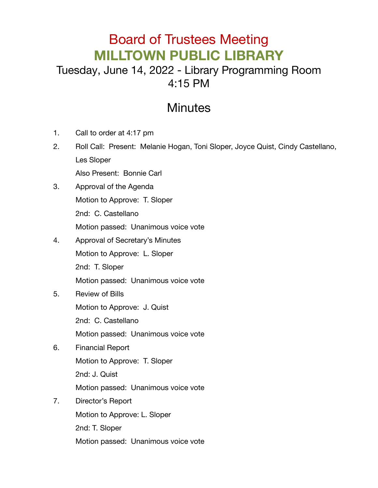## Board of Trustees Meeting **MILLTOWN PUBLIC LIBRARY**

## Tuesday, June 14, 2022 - Library Programming Room 4:15 PM

## **Minutes**

- 1. Call to order at 4:17 pm
- 2. Roll Call: Present: Melanie Hogan, Toni Sloper, Joyce Quist, Cindy Castellano, Les Sloper

Also Present: Bonnie Carl

- 3. Approval of the Agenda Motion to Approve: T. Sloper 2nd: C. Castellano Motion passed: Unanimous voice vote
- 4. Approval of Secretary's Minutes Motion to Approve: L. Sloper 2nd: T. Sloper Motion passed: Unanimous voice vote
- 5. Review of Bills

Motion to Approve: J. Quist

2nd: C. Castellano

Motion passed: Unanimous voice vote

- 6. Financial Report Motion to Approve: T. Sloper 2nd: J. Quist Motion passed: Unanimous voice vote
- 7. Director's Report

Motion to Approve: L. Sloper

2nd: T. Sloper

Motion passed: Unanimous voice vote